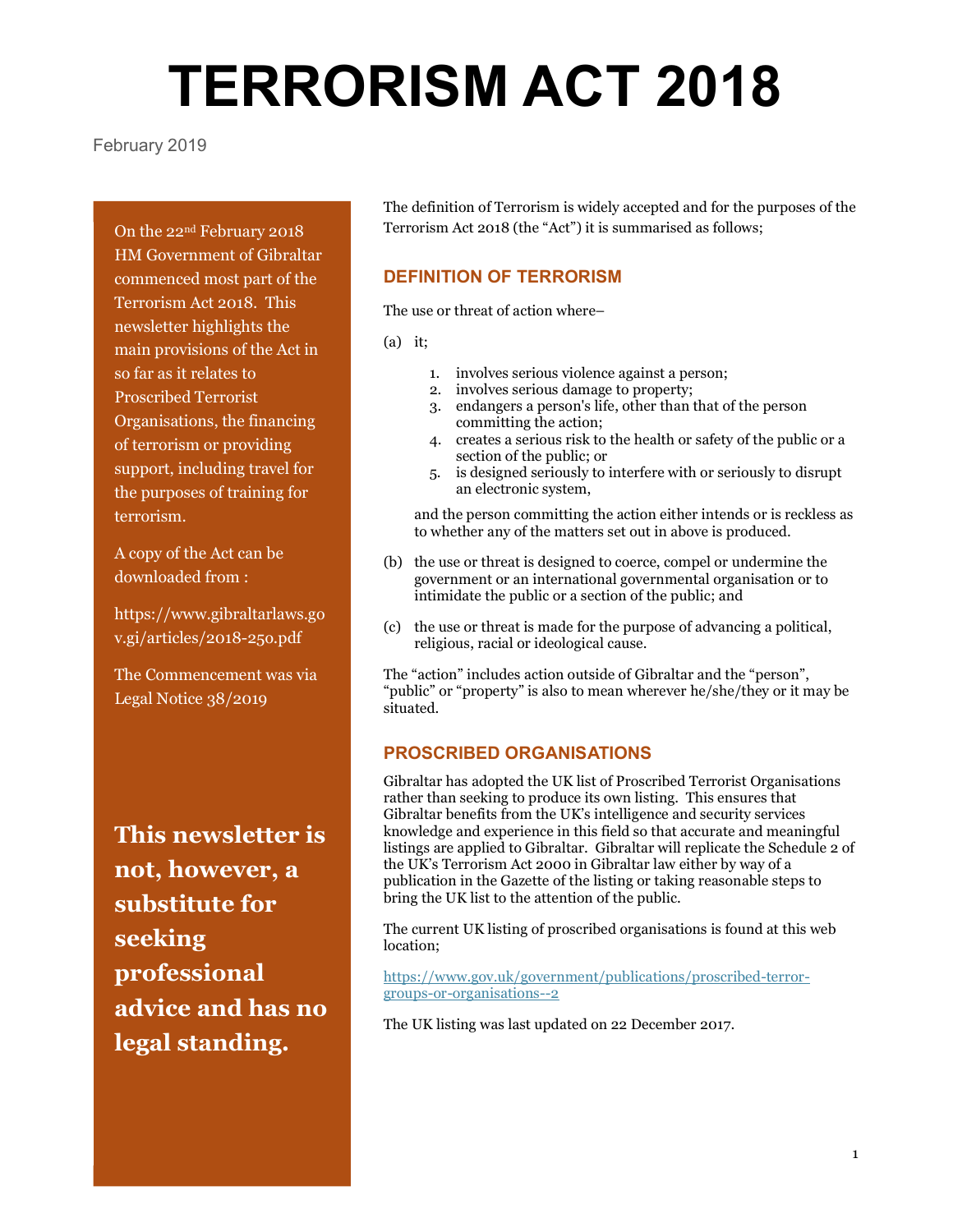# TERRORISM ACT 2018

February 2019

On the 22nd February 2018 HM Government of Gibraltar commenced most part of the Terrorism Act 2018. This newsletter highlights the main provisions of the Act in so far as it relates to Proscribed Terrorist Organisations, the financing of terrorism or providing support, including travel for the purposes of training for terrorism.

A copy of the Act can be downloaded from :

https://www.gibraltarlaws.go v.gi/articles/2018-25o.pdf

The Commencement was via Legal Notice 38/2019

This newsletter is not, however, a substitute for seeking professional advice and has no legal standing.

The definition of Terrorism is widely accepted and for the purposes of the Terrorism Act 2018 (the "Act") it is summarised as follows;

# DEFINITION OF TERRORISM

The use or threat of action where–

(a) it;

- 1. involves serious violence against a person;
- 2. involves serious damage to property;
- 3. endangers a person's life, other than that of the person committing the action;
- 4. creates a serious risk to the health or safety of the public or a section of the public; or
- 5. is designed seriously to interfere with or seriously to disrupt an electronic system,

 and the person committing the action either intends or is reckless as to whether any of the matters set out in above is produced.

- (b) the use or threat is designed to coerce, compel or undermine the government or an international governmental organisation or to intimidate the public or a section of the public; and
- (c) the use or threat is made for the purpose of advancing a political, religious, racial or ideological cause.

The "action" includes action outside of Gibraltar and the "person", "public" or "property" is also to mean wherever he/she/they or it may be situated.

## PROSCRIBED ORGANISATIONS

Gibraltar has adopted the UK list of Proscribed Terrorist Organisations rather than seeking to produce its own listing. This ensures that Gibraltar benefits from the UK's intelligence and security services knowledge and experience in this field so that accurate and meaningful listings are applied to Gibraltar. Gibraltar will replicate the Schedule 2 of the UK's Terrorism Act 2000 in Gibraltar law either by way of a publication in the Gazette of the listing or taking reasonable steps to bring the UK list to the attention of the public.

The current UK listing of proscribed organisations is found at this web location;

https://www.gov.uk/government/publications/proscribed-terrorgroups-or-organisations--2

The UK listing was last updated on 22 December 2017.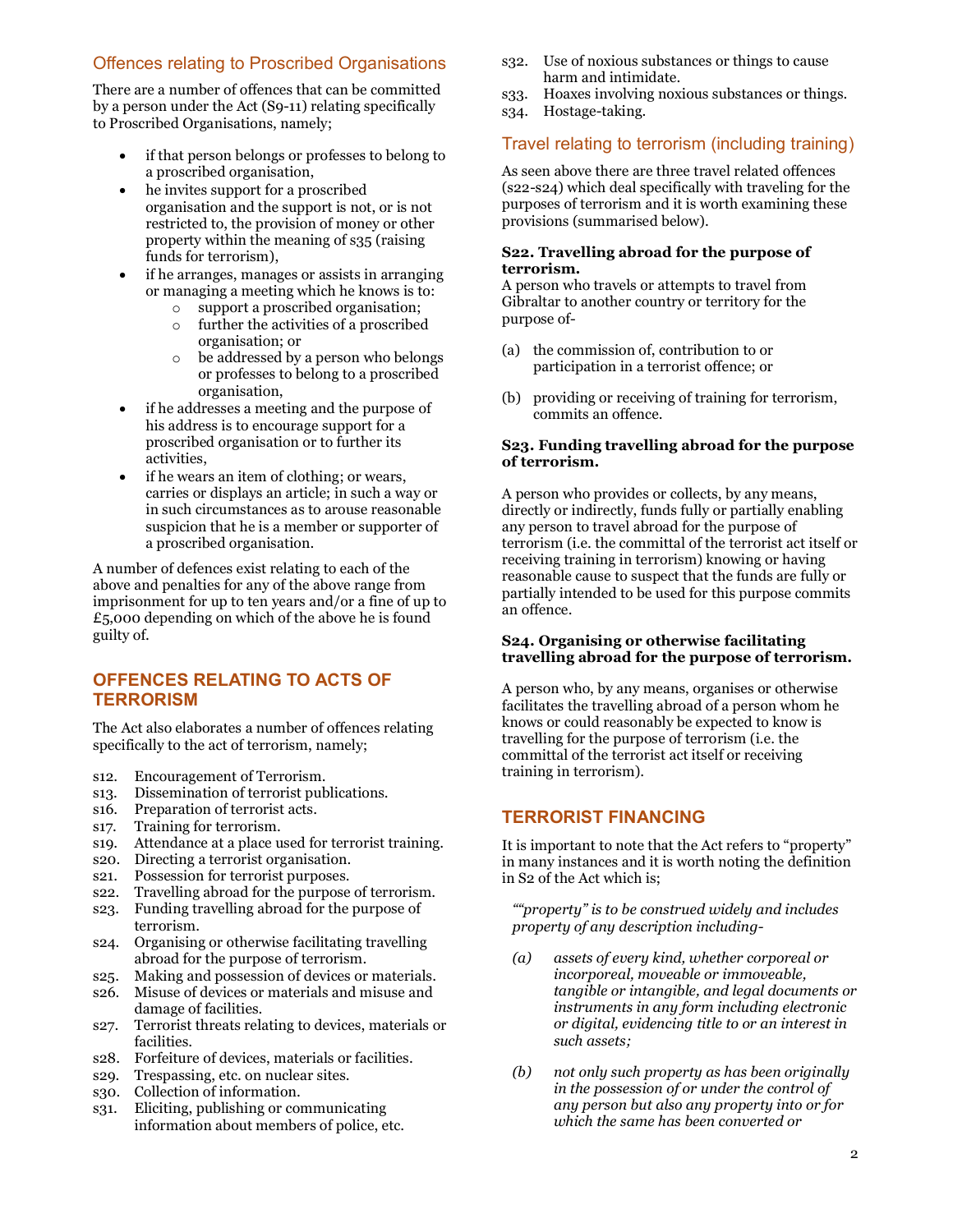## Offences relating to Proscribed Organisations

There are a number of offences that can be committed by a person under the Act (S9-11) relating specifically to Proscribed Organisations, namely;

- if that person belongs or professes to belong to a proscribed organisation,
- he invites support for a proscribed organisation and the support is not, or is not restricted to, the provision of money or other property within the meaning of s35 (raising funds for terrorism),
- if he arranges, manages or assists in arranging or managing a meeting which he knows is to:
	- o support a proscribed organisation;
	- o further the activities of a proscribed organisation; or
	- o be addressed by a person who belongs or professes to belong to a proscribed organisation,
- if he addresses a meeting and the purpose of his address is to encourage support for a proscribed organisation or to further its activities,
- if he wears an item of clothing; or wears, carries or displays an article; in such a way or in such circumstances as to arouse reasonable suspicion that he is a member or supporter of a proscribed organisation.

A number of defences exist relating to each of the above and penalties for any of the above range from imprisonment for up to ten years and/or a fine of up to  $£5,000$  depending on which of the above he is found guilty of.

## OFFENCES RELATING TO ACTS OF **TERRORISM**

The Act also elaborates a number of offences relating specifically to the act of terrorism, namely;

- s12. Encouragement of Terrorism.
- s13. Dissemination of terrorist publications.
- s16. Preparation of terrorist acts.
- s17. Training for terrorism.
- s19. Attendance at a place used for terrorist training.
- s20. Directing a terrorist organisation.
- s21. Possession for terrorist purposes.
- s22. Travelling abroad for the purpose of terrorism.
- s23. Funding travelling abroad for the purpose of terrorism.
- s24. Organising or otherwise facilitating travelling abroad for the purpose of terrorism.
- s25. Making and possession of devices or materials.
- s26. Misuse of devices or materials and misuse and damage of facilities.
- s27. Terrorist threats relating to devices, materials or facilities.
- s28. Forfeiture of devices, materials or facilities.
- s29. Trespassing, etc. on nuclear sites.
- s30. Collection of information.
- s31. Eliciting, publishing or communicating information about members of police, etc.
- s32. Use of noxious substances or things to cause harm and intimidate.
- s33. Hoaxes involving noxious substances or things.
- s34. Hostage-taking.

## Travel relating to terrorism (including training)

As seen above there are three travel related offences (s22-s24) which deal specifically with traveling for the purposes of terrorism and it is worth examining these provisions (summarised below).

#### S22. Travelling abroad for the purpose of terrorism.

A person who travels or attempts to travel from Gibraltar to another country or territory for the purpose of-

- (a) the commission of, contribution to or participation in a terrorist offence; or
- (b) providing or receiving of training for terrorism, commits an offence.

#### S23. Funding travelling abroad for the purpose of terrorism.

A person who provides or collects, by any means, directly or indirectly, funds fully or partially enabling any person to travel abroad for the purpose of terrorism (i.e. the committal of the terrorist act itself or receiving training in terrorism) knowing or having reasonable cause to suspect that the funds are fully or partially intended to be used for this purpose commits an offence.

#### S24. Organising or otherwise facilitating travelling abroad for the purpose of terrorism.

A person who, by any means, organises or otherwise facilitates the travelling abroad of a person whom he knows or could reasonably be expected to know is travelling for the purpose of terrorism (i.e. the committal of the terrorist act itself or receiving training in terrorism).

## TERRORIST FINANCING

It is important to note that the Act refers to "property" in many instances and it is worth noting the definition in S2 of the Act which is;

""property" is to be construed widely and includes property of any description including-

- (a) assets of every kind, whether corporeal or incorporeal, moveable or immoveable, tangible or intangible, and legal documents or instruments in any form including electronic or digital, evidencing title to or an interest in such assets;
- (b) not only such property as has been originally in the possession of or under the control of any person but also any property into or for which the same has been converted or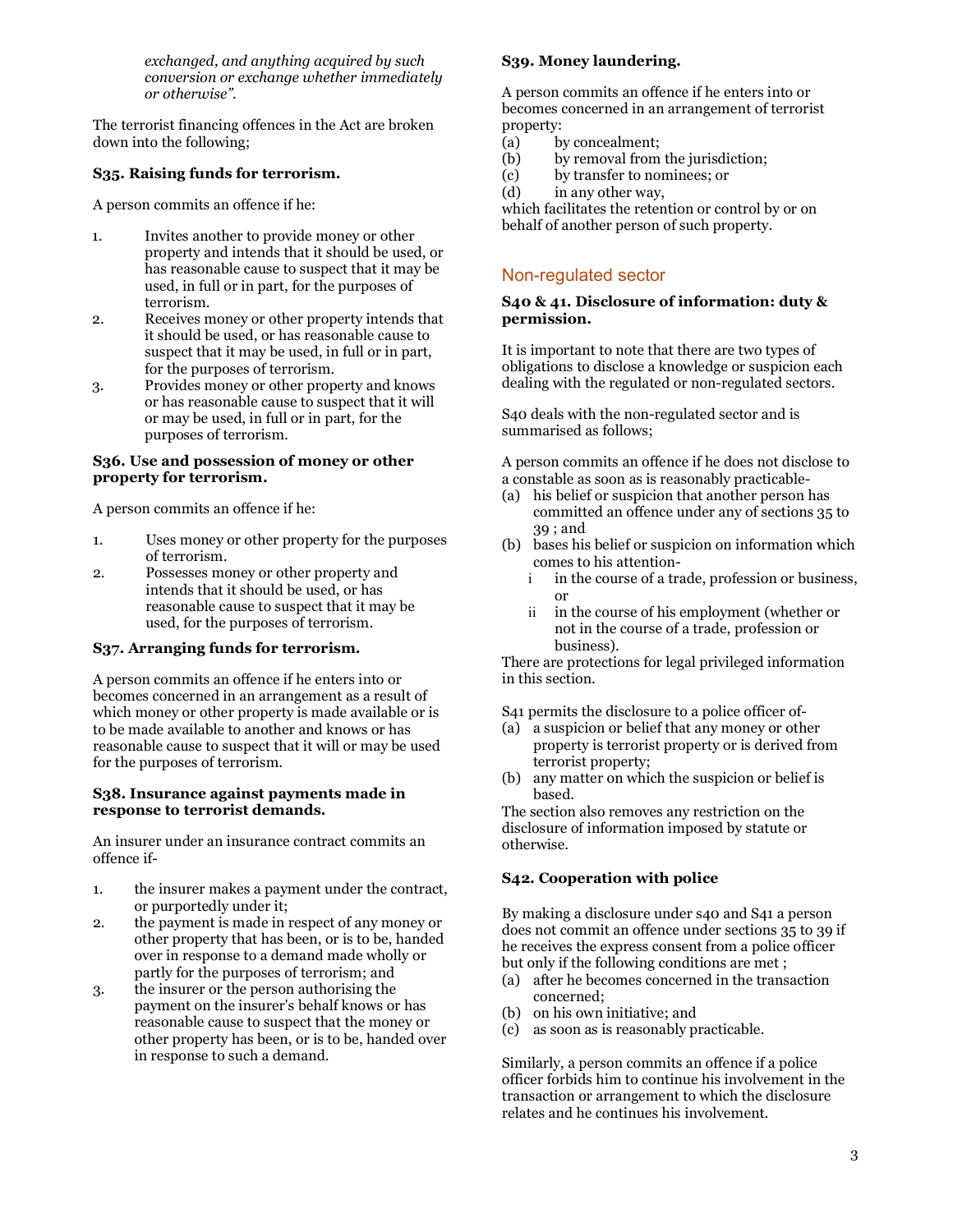exchanged, and anything acquired by such conversion or exchange whether immediately or otherwise".

The terrorist financing offences in the Act are broken down into the following;

#### S35. Raising funds for terrorism.

A person commits an offence if he:

- 1. Invites another to provide money or other property and intends that it should be used, or has reasonable cause to suspect that it may be used, in full or in part, for the purposes of terrorism.
- 2. Receives money or other property intends that it should be used, or has reasonable cause to suspect that it may be used, in full or in part, for the purposes of terrorism.
- 3. Provides money or other property and knows or has reasonable cause to suspect that it will or may be used, in full or in part, for the purposes of terrorism.

#### S36. Use and possession of money or other property for terrorism.

A person commits an offence if he:

- 1. Uses money or other property for the purposes of terrorism.
- 2. Possesses money or other property and intends that it should be used, or has reasonable cause to suspect that it may be used, for the purposes of terrorism.

#### S37. Arranging funds for terrorism.

A person commits an offence if he enters into or becomes concerned in an arrangement as a result of which money or other property is made available or is to be made available to another and knows or has reasonable cause to suspect that it will or may be used for the purposes of terrorism.

#### S38. Insurance against payments made in response to terrorist demands.

An insurer under an insurance contract commits an offence if-

- 1. the insurer makes a payment under the contract, or purportedly under it;
- 2. the payment is made in respect of any money or other property that has been, or is to be, handed over in response to a demand made wholly or partly for the purposes of terrorism; and
- 3. the insurer or the person authorising the payment on the insurer's behalf knows or has reasonable cause to suspect that the money or other property has been, or is to be, handed over in response to such a demand.

#### S39. Money laundering.

A person commits an offence if he enters into or becomes concerned in an arrangement of terrorist property:

- (a) by concealment;
- (b) by removal from the jurisdiction;
- (c) by transfer to nominees; or
- (d) in any other way,

which facilitates the retention or control by or on behalf of another person of such property.

### Non-regulated sector

#### S40 & 41. Disclosure of information: duty & permission.

It is important to note that there are two types of obligations to disclose a knowledge or suspicion each dealing with the regulated or non-regulated sectors.

S40 deals with the non-regulated sector and is summarised as follows;

A person commits an offence if he does not disclose to a constable as soon as is reasonably practicable-

- (a) his belief or suspicion that another person has committed an offence under any of sections 35 to 39 ; and
- (b) bases his belief or suspicion on information which comes to his attention
	- i in the course of a trade, profession or business, or
	- ii in the course of his employment (whether or not in the course of a trade, profession or business).

There are protections for legal privileged information in this section.

S41 permits the disclosure to a police officer of-

- (a) a suspicion or belief that any money or other property is terrorist property or is derived from terrorist property;
- (b) any matter on which the suspicion or belief is based.

The section also removes any restriction on the disclosure of information imposed by statute or otherwise.

#### S42. Cooperation with police

By making a disclosure under s40 and S41 a person does not commit an offence under sections 35 to 39 if he receives the express consent from a police officer but only if the following conditions are met ;

- (a) after he becomes concerned in the transaction concerned;
- (b) on his own initiative; and
- (c) as soon as is reasonably practicable.

Similarly, a person commits an offence if a police officer forbids him to continue his involvement in the transaction or arrangement to which the disclosure relates and he continues his involvement.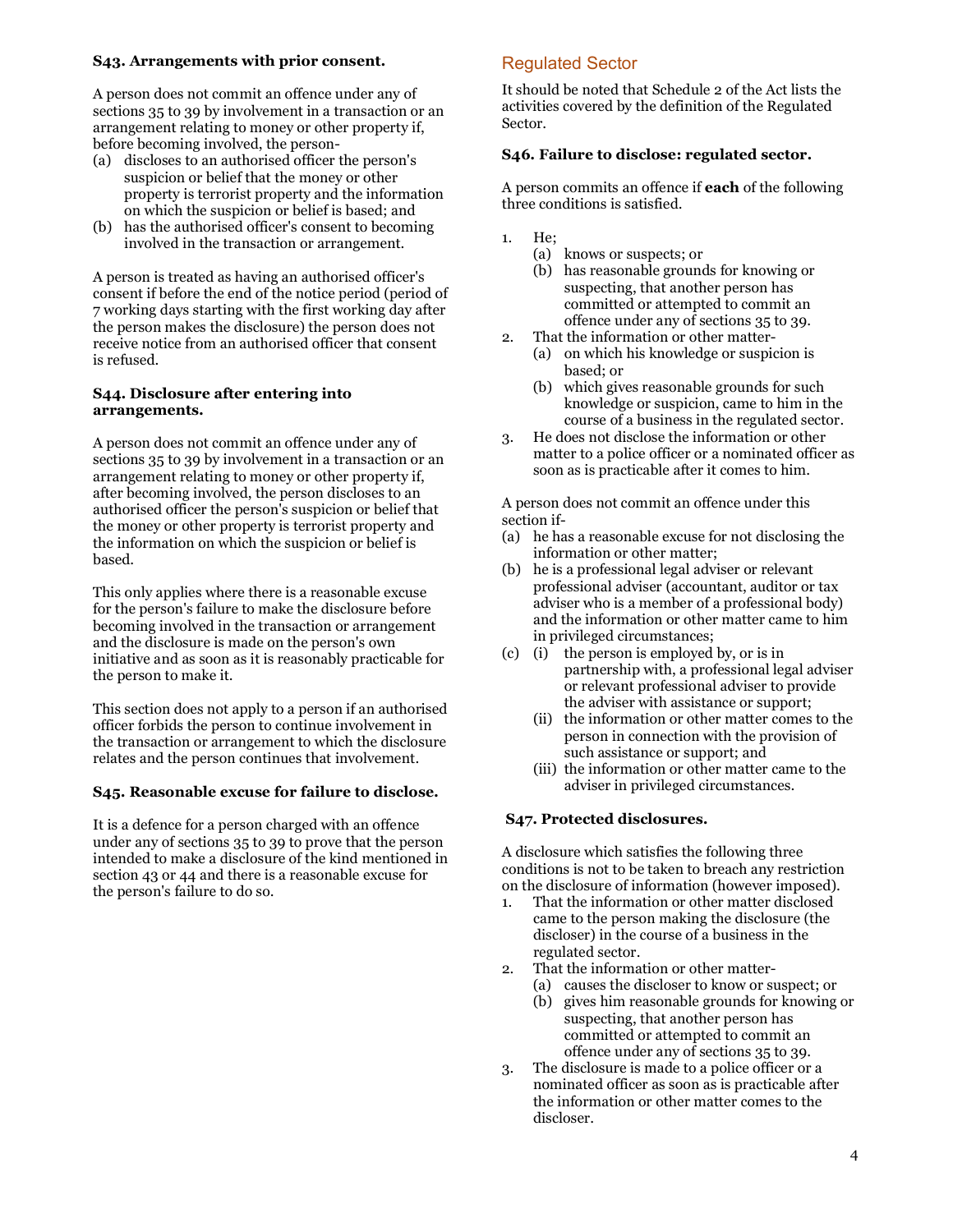#### S43. Arrangements with prior consent.

A person does not commit an offence under any of sections 35 to 39 by involvement in a transaction or an arrangement relating to money or other property if, before becoming involved, the person-

- (a) discloses to an authorised officer the person's suspicion or belief that the money or other property is terrorist property and the information on which the suspicion or belief is based; and
- (b) has the authorised officer's consent to becoming involved in the transaction or arrangement.

A person is treated as having an authorised officer's consent if before the end of the notice period (period of 7 working days starting with the first working day after the person makes the disclosure) the person does not receive notice from an authorised officer that consent is refused.

#### S44. Disclosure after entering into arrangements.

A person does not commit an offence under any of sections 35 to 39 by involvement in a transaction or an arrangement relating to money or other property if, after becoming involved, the person discloses to an authorised officer the person's suspicion or belief that the money or other property is terrorist property and the information on which the suspicion or belief is based.

This only applies where there is a reasonable excuse for the person's failure to make the disclosure before becoming involved in the transaction or arrangement and the disclosure is made on the person's own initiative and as soon as it is reasonably practicable for the person to make it.

This section does not apply to a person if an authorised officer forbids the person to continue involvement in the transaction or arrangement to which the disclosure relates and the person continues that involvement.

#### S45. Reasonable excuse for failure to disclose.

It is a defence for a person charged with an offence under any of sections 35 to 39 to prove that the person intended to make a disclosure of the kind mentioned in section 43 or 44 and there is a reasonable excuse for the person's failure to do so.

## Regulated Sector

It should be noted that Schedule 2 of the Act lists the activities covered by the definition of the Regulated Sector.

#### S46. Failure to disclose: regulated sector.

A person commits an offence if **each** of the following three conditions is satisfied.

- 1. He;
	- (a) knows or suspects; or
	- (b) has reasonable grounds for knowing or suspecting, that another person has committed or attempted to commit an offence under any of sections 35 to 39.
- 2. That the information or other matter-
	- (a) on which his knowledge or suspicion is based; or
	- (b) which gives reasonable grounds for such knowledge or suspicion, came to him in the course of a business in the regulated sector.
- 3. He does not disclose the information or other matter to a police officer or a nominated officer as soon as is practicable after it comes to him.

A person does not commit an offence under this section if-

- (a) he has a reasonable excuse for not disclosing the information or other matter;
- (b) he is a professional legal adviser or relevant professional adviser (accountant, auditor or tax adviser who is a member of a professional body) and the information or other matter came to him in privileged circumstances;
- (c) (i) the person is employed by, or is in partnership with, a professional legal adviser or relevant professional adviser to provide the adviser with assistance or support;
	- (ii) the information or other matter comes to the person in connection with the provision of such assistance or support; and
	- (iii) the information or other matter came to the adviser in privileged circumstances.

#### S47. Protected disclosures.

A disclosure which satisfies the following three conditions is not to be taken to breach any restriction on the disclosure of information (however imposed).

- 1. That the information or other matter disclosed came to the person making the disclosure (the discloser) in the course of a business in the regulated sector.
- 2. That the information or other matter-
	- (a) causes the discloser to know or suspect; or
	- (b) gives him reasonable grounds for knowing or suspecting, that another person has committed or attempted to commit an offence under any of sections 35 to 39.
- 3. The disclosure is made to a police officer or a nominated officer as soon as is practicable after the information or other matter comes to the discloser.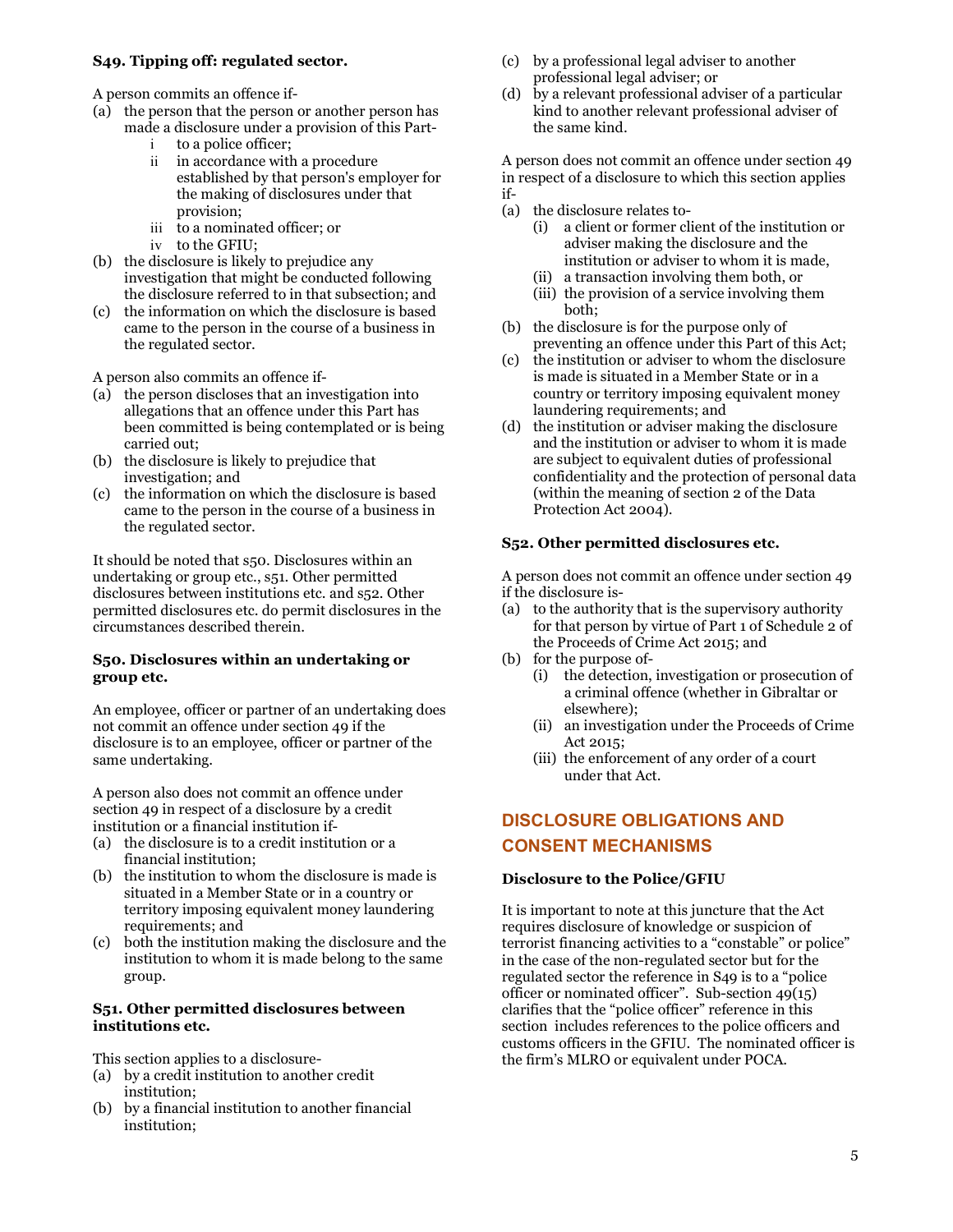#### S49. Tipping off: regulated sector.

A person commits an offence if-

- (a) the person that the person or another person has made a disclosure under a provision of this Part
	- i to a police officer; ii in accordance with a procedure established by that person's employer for the making of disclosures under that provision;
	- iii to a nominated officer; or
	- iv to the GFIU;
- (b) the disclosure is likely to prejudice any investigation that might be conducted following the disclosure referred to in that subsection; and
- (c) the information on which the disclosure is based came to the person in the course of a business in the regulated sector.

A person also commits an offence if-

- (a) the person discloses that an investigation into allegations that an offence under this Part has been committed is being contemplated or is being carried out;
- (b) the disclosure is likely to prejudice that investigation; and
- (c) the information on which the disclosure is based came to the person in the course of a business in the regulated sector.

It should be noted that s50. Disclosures within an undertaking or group etc., s51. Other permitted disclosures between institutions etc. and s52. Other permitted disclosures etc. do permit disclosures in the circumstances described therein.

#### S50. Disclosures within an undertaking or group etc.

An employee, officer or partner of an undertaking does not commit an offence under section 49 if the disclosure is to an employee, officer or partner of the same undertaking.

A person also does not commit an offence under section 49 in respect of a disclosure by a credit institution or a financial institution if-

- (a) the disclosure is to a credit institution or a financial institution;
- (b) the institution to whom the disclosure is made is situated in a Member State or in a country or territory imposing equivalent money laundering requirements; and
- (c) both the institution making the disclosure and the institution to whom it is made belong to the same group.

#### S51. Other permitted disclosures between institutions etc.

This section applies to a disclosure-

- (a) by a credit institution to another credit institution;
- (b) by a financial institution to another financial institution;
- (c) by a professional legal adviser to another professional legal adviser; or
- (d) by a relevant professional adviser of a particular kind to another relevant professional adviser of the same kind.

A person does not commit an offence under section 49 in respect of a disclosure to which this section applies if-

- (a) the disclosure relates to-
	- (i) a client or former client of the institution or adviser making the disclosure and the institution or adviser to whom it is made,
	- (ii) a transaction involving them both, or
	- (iii) the provision of a service involving them both;
- (b) the disclosure is for the purpose only of preventing an offence under this Part of this Act;
- (c) the institution or adviser to whom the disclosure is made is situated in a Member State or in a country or territory imposing equivalent money laundering requirements; and
- (d) the institution or adviser making the disclosure and the institution or adviser to whom it is made are subject to equivalent duties of professional confidentiality and the protection of personal data (within the meaning of section 2 of the Data Protection Act 2004).

#### S52. Other permitted disclosures etc.

A person does not commit an offence under section 49 if the disclosure is-

- (a) to the authority that is the supervisory authority for that person by virtue of Part 1 of Schedule 2 of the Proceeds of Crime Act 2015; and
- (b) for the purpose of-
	- (i) the detection, investigation or prosecution of a criminal offence (whether in Gibraltar or elsewhere);
	- (ii) an investigation under the Proceeds of Crime Act 2015;
	- (iii) the enforcement of any order of a court under that Act.

# DISCLOSURE OBLIGATIONS AND CONSENT MECHANISMS

#### Disclosure to the Police/GFIU

It is important to note at this juncture that the Act requires disclosure of knowledge or suspicion of terrorist financing activities to a "constable" or police" in the case of the non-regulated sector but for the regulated sector the reference in S49 is to a "police officer or nominated officer". Sub-section  $49(15)$ clarifies that the "police officer" reference in this section includes references to the police officers and customs officers in the GFIU. The nominated officer is the firm's MLRO or equivalent under POCA.